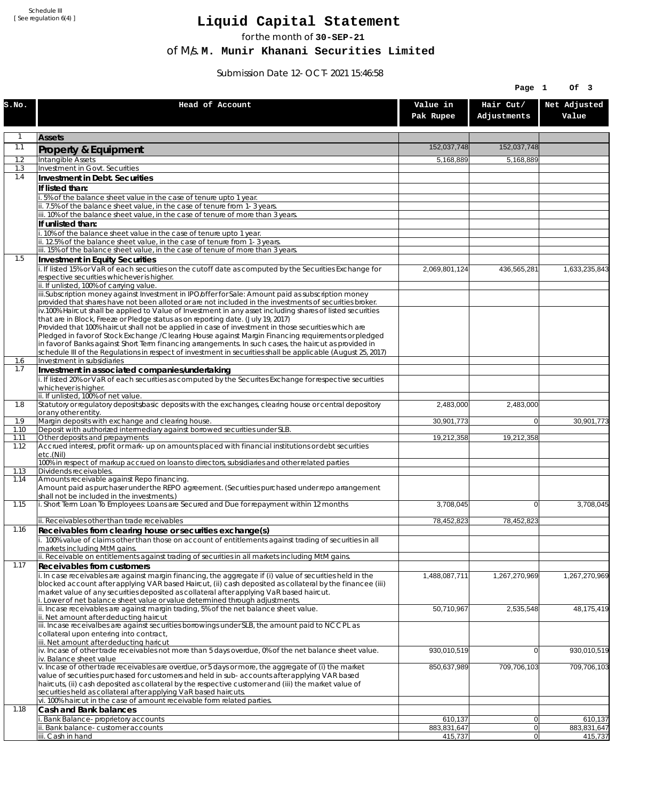Schedule III [ See regulation 6(4) ]

## **Liquid Capital Statement**

for the month of **30-SEP-21**

of M/s. **M. Munir Khanani Securities Limited**

Submission Date 12-OCT-2021 15:46:58

|             |                                                                                                                                                                                                                                    |                        | Page 1                   | Of 3                   |
|-------------|------------------------------------------------------------------------------------------------------------------------------------------------------------------------------------------------------------------------------------|------------------------|--------------------------|------------------------|
| S.NO.       | Head of Account                                                                                                                                                                                                                    | Value in<br>Pak Rupee  | Hair Cut/<br>Adjustments | Net Adjusted<br>Value  |
| 1           | <b>Assets</b>                                                                                                                                                                                                                      |                        |                          |                        |
| 1.1         | Property & Equipment                                                                                                                                                                                                               | 152,037,748            | 152,037,748              |                        |
| 1.2         | Intangible Assets                                                                                                                                                                                                                  | 5,168,889              | 5,168,889                |                        |
| 1.3<br>1.4  | Investment in Govt. Securities<br>Investment in Debt. Securities                                                                                                                                                                   |                        |                          |                        |
|             | If listed than:                                                                                                                                                                                                                    |                        |                          |                        |
|             | i. 5% of the balance sheet value in the case of tenure upto 1 year.                                                                                                                                                                |                        |                          |                        |
|             | ii. 7.5% of the balance sheet value, in the case of tenure from 1-3 years.<br>iii. 10% of the balance sheet value, in the case of tenure of more than 3 years.                                                                     |                        |                          |                        |
|             | If unlisted than:                                                                                                                                                                                                                  |                        |                          |                        |
|             | i. 10% of the balance sheet value in the case of tenure upto 1 year.                                                                                                                                                               |                        |                          |                        |
|             | ii. 12.5% of the balance sheet value, in the case of tenure from 1-3 years.<br>iii. 15% of the balance sheet value, in the case of tenure of more than 3 years.                                                                    |                        |                          |                        |
| 1.5         | Investment in Equity Securities                                                                                                                                                                                                    |                        |                          |                        |
|             | i. If listed 15% or VaR of each securities on the cutoff date as computed by the Securities Exchange for                                                                                                                           | 2,069,801,124          | 436,565,281              | 1,633,235,843          |
|             | respective securities whichever is higher.<br>ii. If unlisted, 100% of carrying value.                                                                                                                                             |                        |                          |                        |
|             | iii.Subscription money against Investment in IPO/offer for Sale: Amount paid as subscription money                                                                                                                                 |                        |                          |                        |
|             | provided that shares have not been alloted or are not included in the investments of securities broker.<br>$\overline{v}$ .100% Haircut shall be applied to Value of Investment in any asset including shares of listed securities |                        |                          |                        |
|             | that are in Block, Freeze or Pledge status as on reporting date. (July 19, 2017)                                                                                                                                                   |                        |                          |                        |
|             | Provided that 100% haircut shall not be applied in case of investment in those securities which are                                                                                                                                |                        |                          |                        |
|             | Pledged in favor of Stock Exchange / Clearing House against Margin Financing requirements or pledged<br>in favor of Banks against Short Term financing arrangements. In such cases, the haircut as provided in                     |                        |                          |                        |
|             | schedule III of the Regulations in respect of investment in securities shall be applicable (August 25, 2017)                                                                                                                       |                        |                          |                        |
| 1.6<br>1.7  | Investment in subsidiaries                                                                                                                                                                                                         |                        |                          |                        |
|             | Investment in associated companies/undertaking<br>i. If listed 20% or VaR of each securities as computed by the Securites Exchange for respective securities                                                                       |                        |                          |                        |
|             | whichever is higher.                                                                                                                                                                                                               |                        |                          |                        |
| 1.8         | ii. If unlisted, 100% of net value.<br>Statutory or regulatory deposits/basic deposits with the exchanges, clearing house or central depository                                                                                    | 2,483,000              | 2,483,000                |                        |
|             | or any other entity.                                                                                                                                                                                                               |                        |                          |                        |
| 1.9<br>1.10 | Margin deposits with exchange and clearing house.<br>Deposit with authorized intermediary against borrowed securities under SLB.                                                                                                   | 30,901,773             | $\overline{0}$           | 30,901,773             |
| 1.11        | Other deposits and prepayments                                                                                                                                                                                                     | 19,212,358             | 19,212,358               |                        |
| 1.12        | Accrued interest, profit or mark-up on amounts placed with financial institutions or debt securities<br>etc.(Nil)                                                                                                                  |                        |                          |                        |
| 1.13        | 100% in respect of markup accrued on loans to directors, subsidiaries and other related parties<br>Dividends receivables.                                                                                                          |                        |                          |                        |
| 1.14        | Amounts receivable against Repo financing.                                                                                                                                                                                         |                        |                          |                        |
|             | Amount paid as purchaser under the REPO agreement. (Securities purchased under repo arrangement<br>shall not be included in the investments.)                                                                                      |                        |                          |                        |
| 1.15        | i. Short Term Loan To Employees: Loans are Secured and Due for repayment within 12 months                                                                                                                                          | 3,708,045              | 0                        | 3,708,045              |
|             | ii. Receivables other than trade receivables                                                                                                                                                                                       | 78,452,823             | 78,452,823               |                        |
| 1.16        | Receivables from clearing house or securities exchange(s)                                                                                                                                                                          |                        |                          |                        |
|             | i. 100% value of claims other than those on account of entitlements against trading of securities in all                                                                                                                           |                        |                          |                        |
|             | markets including MtM gains.<br>ii. Receivable on entitlements against trading of securities in all markets including MtM gains.                                                                                                   |                        |                          |                        |
| 1.17        | <b>Receivables from customers</b>                                                                                                                                                                                                  |                        |                          |                        |
|             | i. In case receivables are against margin financing, the aggregate if (i) value of securities held in the                                                                                                                          | 1,488,087,711          | 1,267,270,969            | 1,267,270,969          |
|             | blocked account after applying VAR based Haircut, (ii) cash deposited as collateral by the financee (iii)<br>market value of any securities deposited as collateral after applying VaR based haircut.                              |                        |                          |                        |
|             | i. Lower of net balance sheet value or value determined through adjustments.                                                                                                                                                       |                        |                          |                        |
|             | ii. Incase receivables are against margin trading, 5% of the net balance sheet value.<br>ii. Net amount after deducting haircut                                                                                                    | 50,710,967             | 2,535,548                | 48,175,419             |
|             | iii. Incase receivalbes are against securities borrowings under SLB, the amount paid to NCCPL as                                                                                                                                   |                        |                          |                        |
|             | collateral upon entering into contract,                                                                                                                                                                                            |                        |                          |                        |
|             | iii. Net amount after deducting haricut<br>$\dot{v}$ . Incase of other trade receivables not more than 5 days overdue, 0% of the net balance sheet value.                                                                          | 930,010,519            | $\overline{0}$           | 930,010,519            |
|             | iv. Balance sheet value                                                                                                                                                                                                            |                        |                          |                        |
|             | v. Incase of other trade receivables are overdue, or 5 days or more, the aggregate of (i) the market<br>value of securities purchased for customers and held in sub-accounts after applying VAR based                              | 850,637,989            | 709,706,103              | 709,706,103            |
|             | haircuts, (ii) cash deposited as collateral by the respective customer and (iii) the market value of                                                                                                                               |                        |                          |                        |
|             | securities held as collateral after applying VaR based haircuts.<br>vi. 100% haircut in the case of amount receivable form related parties.                                                                                        |                        |                          |                        |
| 1.18        | Cash and Bank balances                                                                                                                                                                                                             |                        |                          |                        |
|             | i. Bank Balance-proprietory accounts                                                                                                                                                                                               | 610,137                | $\overline{0}$           | 610,137                |
|             | ii. Bank balance-customer accounts<br>iii. Cash in hand                                                                                                                                                                            | 883,831,647<br>415,737 | 0 <br> 0                 | 883,831,647<br>415,737 |
|             |                                                                                                                                                                                                                                    |                        |                          |                        |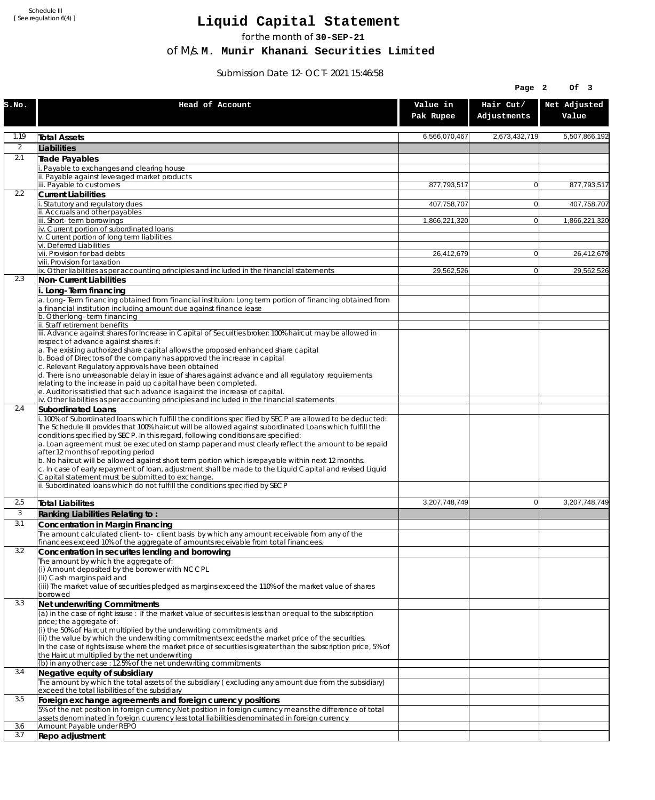Schedule III [ See regulation 6(4) ]

## **Liquid Capital Statement**

for the month of **30-SEP-21**

of M/s. **M. Munir Khanani Securities Limited**

Submission Date 12-OCT-2021 15:46:58

|                |                                                                                                                                                                                                                                                                                                                                                                                                                                                                                                                                                                                                                                                                                                                             |                       | Page 2                   | Of 3                  |
|----------------|-----------------------------------------------------------------------------------------------------------------------------------------------------------------------------------------------------------------------------------------------------------------------------------------------------------------------------------------------------------------------------------------------------------------------------------------------------------------------------------------------------------------------------------------------------------------------------------------------------------------------------------------------------------------------------------------------------------------------------|-----------------------|--------------------------|-----------------------|
| S.NO.          | Head of Account                                                                                                                                                                                                                                                                                                                                                                                                                                                                                                                                                                                                                                                                                                             | Value in<br>Pak Rupee | Hair Cut/<br>Adjustments | Net Adjusted<br>Value |
| 1.19           | <b>Total Assets</b>                                                                                                                                                                                                                                                                                                                                                                                                                                                                                                                                                                                                                                                                                                         | 6,566,070,467         | 2,673,432,719            | 5,507,866,192         |
| $\overline{2}$ | Liabilities                                                                                                                                                                                                                                                                                                                                                                                                                                                                                                                                                                                                                                                                                                                 |                       |                          |                       |
| 2.1            | Trade Payables                                                                                                                                                                                                                                                                                                                                                                                                                                                                                                                                                                                                                                                                                                              |                       |                          |                       |
|                | Payable to exchanges and clearing house<br>ii. Payable against leveraged market products                                                                                                                                                                                                                                                                                                                                                                                                                                                                                                                                                                                                                                    |                       |                          |                       |
|                | iii. Payable to customers                                                                                                                                                                                                                                                                                                                                                                                                                                                                                                                                                                                                                                                                                                   | 877,793,517           | $\mathbf{0}$             | 877,793,517           |
| 2.2            | <b>Current Liabilities</b>                                                                                                                                                                                                                                                                                                                                                                                                                                                                                                                                                                                                                                                                                                  |                       |                          |                       |
|                | . Statutory and regulatory dues<br>ii. Accruals and other payables                                                                                                                                                                                                                                                                                                                                                                                                                                                                                                                                                                                                                                                          | 407,758,707           | $\mathbf{0}$             | 407,758,707           |
|                | iii. Short-term borrowings                                                                                                                                                                                                                                                                                                                                                                                                                                                                                                                                                                                                                                                                                                  | 1,866,221,320         | $\mathbf{0}$             | 1,866,221,320         |
|                | iv. Current portion of subordinated loans<br>v. Current portion of long term liabilities                                                                                                                                                                                                                                                                                                                                                                                                                                                                                                                                                                                                                                    |                       |                          |                       |
|                | vi. Deferred Liabilities                                                                                                                                                                                                                                                                                                                                                                                                                                                                                                                                                                                                                                                                                                    |                       |                          |                       |
|                | vii. Provision for bad debts<br>viii. Provision for taxation                                                                                                                                                                                                                                                                                                                                                                                                                                                                                                                                                                                                                                                                | 26,412,679            | 0                        | 26,412,679            |
|                | ix. Other liabilities as per accounting principles and included in the financial statements                                                                                                                                                                                                                                                                                                                                                                                                                                                                                                                                                                                                                                 | 29,562,526            | $\overline{0}$           | 29,562,526            |
| 2.3            | Non-Current Liabilities                                                                                                                                                                                                                                                                                                                                                                                                                                                                                                                                                                                                                                                                                                     |                       |                          |                       |
|                | i. Long-Term financing<br>a. Long-Term financing obtained from financial instituion: Long term portion of financing obtained from<br>a financial institution including amount due against finance lease<br>b. Other long-term financing                                                                                                                                                                                                                                                                                                                                                                                                                                                                                     |                       |                          |                       |
|                | ii. Staff retirement benefits                                                                                                                                                                                                                                                                                                                                                                                                                                                                                                                                                                                                                                                                                               |                       |                          |                       |
|                | iii. Advance against shares for Increase in Capital of Securities broker: 100% haircut may be allowed in<br>respect of advance against shares if:                                                                                                                                                                                                                                                                                                                                                                                                                                                                                                                                                                           |                       |                          |                       |
|                | a. The existing authorized share capital allows the proposed enhanced share capital<br>b. Boad of Directors of the company has approved the increase in capital<br>c. Relevant Regulatory approvals have been obtained                                                                                                                                                                                                                                                                                                                                                                                                                                                                                                      |                       |                          |                       |
|                | d. There is no unreasonable delay in issue of shares against advance and all regulatory requirements<br>relating to the increase in paid up capital have been completed.<br>e. Auditor is satisfied that such advance is against the increase of capital.                                                                                                                                                                                                                                                                                                                                                                                                                                                                   |                       |                          |                       |
|                | iv. Other liabilities as per accounting principles and included in the financial statements                                                                                                                                                                                                                                                                                                                                                                                                                                                                                                                                                                                                                                 |                       |                          |                       |
| 2.4            | <b>Subordinated Loans</b>                                                                                                                                                                                                                                                                                                                                                                                                                                                                                                                                                                                                                                                                                                   |                       |                          |                       |
|                | . 100% of Subordinated loans which fulfill the conditions specified by SECP are allowed to be deducted:<br>The Schedule III provides that 100% haircut will be allowed against subordinated Loans which fulfill the<br>conditions specified by SECP. In this regard, following conditions are specified:<br>a. Loan agreement must be executed on stamp paper and must clearly reflect the amount to be repaid<br>after 12 months of reporting period<br>b. No haircut will be allowed against short term portion which is repayable within next 12 months.<br>c. In case of early repayment of loan, adjustment shall be made to the Liquid Capital and revised Liquid<br>Capital statement must be submitted to exchange. |                       |                          |                       |
|                | ii. Subordinated loans which do not fulfill the conditions specified by SECP                                                                                                                                                                                                                                                                                                                                                                                                                                                                                                                                                                                                                                                |                       |                          |                       |
| 2.5            | <b>Total Liabilites</b>                                                                                                                                                                                                                                                                                                                                                                                                                                                                                                                                                                                                                                                                                                     | 3,207,748,749         | 0                        | 3.207.748.749         |
| 3              | Ranking Liabilities Relating to:                                                                                                                                                                                                                                                                                                                                                                                                                                                                                                                                                                                                                                                                                            |                       |                          |                       |
| 3.1            | Concentration in Margin Financing                                                                                                                                                                                                                                                                                                                                                                                                                                                                                                                                                                                                                                                                                           |                       |                          |                       |
|                | The amount calculated client-to- client basis by which any amount receivable from any of the                                                                                                                                                                                                                                                                                                                                                                                                                                                                                                                                                                                                                                |                       |                          |                       |
| 3.2            | financees exceed 10% of the aggregate of amounts receivable from total financees.<br>Concentration in securites lending and borrowing                                                                                                                                                                                                                                                                                                                                                                                                                                                                                                                                                                                       |                       |                          |                       |
|                | The amount by which the aggregate of:<br>(i) Amount deposited by the borrower with NCCPL<br>(Ii) Cash margins paid and                                                                                                                                                                                                                                                                                                                                                                                                                                                                                                                                                                                                      |                       |                          |                       |
|                | (iii) The market value of securities pledged as margins exceed the 110% of the market value of shares<br>borrowed                                                                                                                                                                                                                                                                                                                                                                                                                                                                                                                                                                                                           |                       |                          |                       |
| 3.3            | Net underwriting Commitments<br>(a) in the case of right issuse : if the market value of securites is less than or equal to the subscription                                                                                                                                                                                                                                                                                                                                                                                                                                                                                                                                                                                |                       |                          |                       |
|                | price; the aggregate of:<br>(i) the 50% of Haircut multiplied by the underwriting commitments and                                                                                                                                                                                                                                                                                                                                                                                                                                                                                                                                                                                                                           |                       |                          |                       |
|                | (ii) the value by which the underwriting commitments exceeds the market price of the securities.<br>In the case of rights issuse where the market price of securities is greater than the subscription price, 5% of<br>the Haircut multiplied by the net underwriting                                                                                                                                                                                                                                                                                                                                                                                                                                                       |                       |                          |                       |
|                | (b) in any other case: 12.5% of the net underwriting commitments                                                                                                                                                                                                                                                                                                                                                                                                                                                                                                                                                                                                                                                            |                       |                          |                       |
| 3.4            | Negative equity of subsidiary<br>The amount by which the total assets of the subsidiary (excluding any amount due from the subsidiary)                                                                                                                                                                                                                                                                                                                                                                                                                                                                                                                                                                                      |                       |                          |                       |
|                | exceed the total liabilities of the subsidiary                                                                                                                                                                                                                                                                                                                                                                                                                                                                                                                                                                                                                                                                              |                       |                          |                       |
| 3.5            | Foreign exchange agreements and foreign currency positions<br>5% of the net position in foreign currency. Net position in foreign currency means the difference of total<br>assets denominated in foreign cuurency less total liabilities denominated in foreign currency                                                                                                                                                                                                                                                                                                                                                                                                                                                   |                       |                          |                       |
| 3.6            | Amount Payable under REPO                                                                                                                                                                                                                                                                                                                                                                                                                                                                                                                                                                                                                                                                                                   |                       |                          |                       |
| 3.7            | Repo adjustment                                                                                                                                                                                                                                                                                                                                                                                                                                                                                                                                                                                                                                                                                                             |                       |                          |                       |